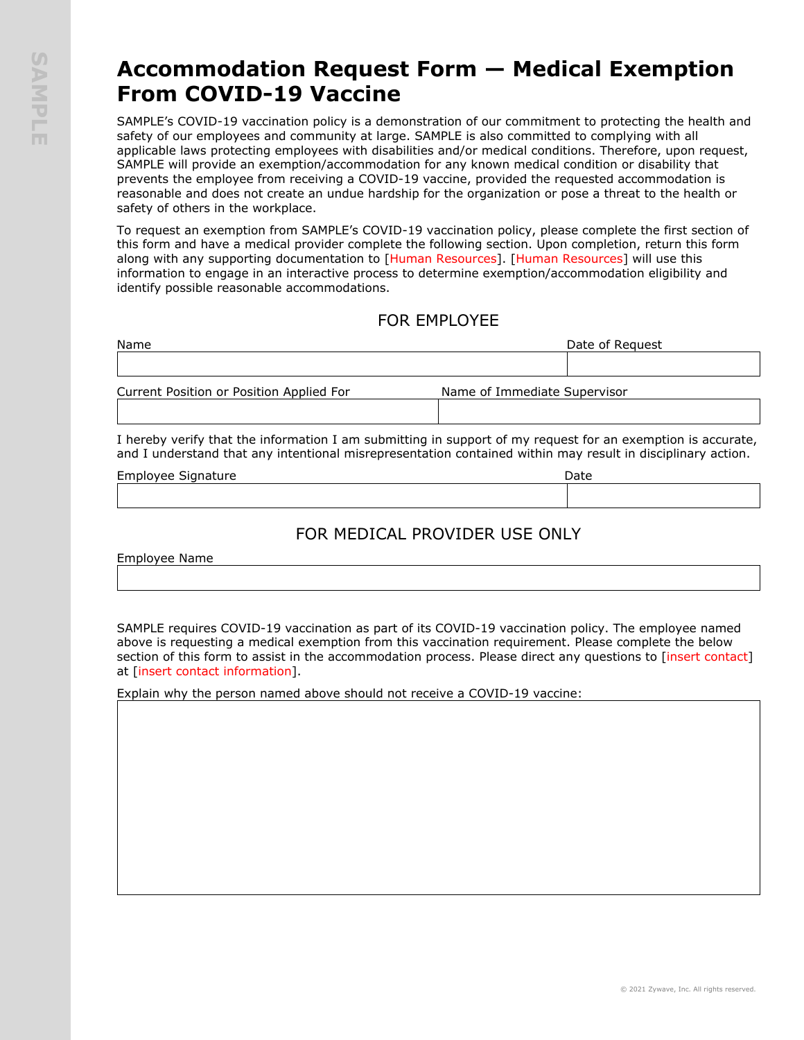## **Accommodation Request Form — Medical Exemption From COVID-19 Vaccine**

SAMPLE's COVID-19 vaccination policy is a demonstration of our commitment to protecting the health and safety of our employees and community at large. SAMPLE is also committed to complying with all applicable laws protecting employees with disabilities and/or medical conditions. Therefore, upon request, SAMPLE will provide an exemption/accommodation for any known medical condition or disability that prevents the employee from receiving a COVID-19 vaccine, provided the requested accommodation is reasonable and does not create an undue hardship for the organization or pose a threat to the health or safety of others in the workplace.

To request an exemption from SAMPLE's COVID-19 vaccination policy, please complete the first section of this form and have a medical provider complete the following section. Upon completion, return this form along with any supporting documentation to [Human Resources]. [Human Resources] will use this information to engage in an interactive process to determine exemption/accommodation eligibility and identify possible reasonable accommodations.

## FOR EMPLOYEE

| Name                                     | Date of Reguest              |  |
|------------------------------------------|------------------------------|--|
|                                          |                              |  |
| Current Position or Position Applied For | Name of Immediate Supervisor |  |
|                                          |                              |  |

I hereby verify that the information I am submitting in support of my request for an exemption is accurate, and I understand that any intentional misrepresentation contained within may result in disciplinary action.

| Employee Sig<br>Sianature | Date |  |
|---------------------------|------|--|
|                           |      |  |

## FOR MEDICAL PROVIDER USE ONLY

Employee Name

SAMPLE requires COVID-19 vaccination as part of its COVID-19 vaccination policy. The employee named above is requesting a medical exemption from this vaccination requirement. Please complete the below section of this form to assist in the accommodation process. Please direct any questions to [insert contact] at [insert contact information].

Explain why the person named above should not receive a COVID-19 vaccine: